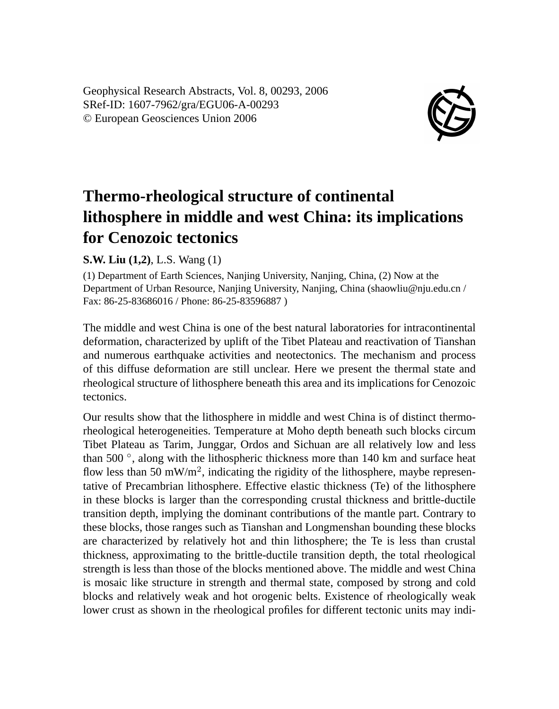Geophysical Research Abstracts, Vol. 8, 00293, 2006 SRef-ID: 1607-7962/gra/EGU06-A-00293 © European Geosciences Union 2006



## **Thermo-rheological structure of continental lithosphere in middle and west China: its implications for Cenozoic tectonics**

## **S.W. Liu (1,2)**, L.S. Wang (1)

(1) Department of Earth Sciences, Nanjing University, Nanjing, China, (2) Now at the Department of Urban Resource, Nanjing University, Nanjing, China (shaowliu@nju.edu.cn / Fax: 86-25-83686016 / Phone: 86-25-83596887 )

The middle and west China is one of the best natural laboratories for intracontinental deformation, characterized by uplift of the Tibet Plateau and reactivation of Tianshan and numerous earthquake activities and neotectonics. The mechanism and process of this diffuse deformation are still unclear. Here we present the thermal state and rheological structure of lithosphere beneath this area and its implications for Cenozoic tectonics.

Our results show that the lithosphere in middle and west China is of distinct thermorheological heterogeneities. Temperature at Moho depth beneath such blocks circum Tibet Plateau as Tarim, Junggar, Ordos and Sichuan are all relatively low and less than 500 °, along with the lithospheric thickness more than 140 km and surface heat flow less than 50 mW/m<sup>2</sup>, indicating the rigidity of the lithosphere, maybe representative of Precambrian lithosphere. Effective elastic thickness (Te) of the lithosphere in these blocks is larger than the corresponding crustal thickness and brittle-ductile transition depth, implying the dominant contributions of the mantle part. Contrary to these blocks, those ranges such as Tianshan and Longmenshan bounding these blocks are characterized by relatively hot and thin lithosphere; the Te is less than crustal thickness, approximating to the brittle-ductile transition depth, the total rheological strength is less than those of the blocks mentioned above. The middle and west China is mosaic like structure in strength and thermal state, composed by strong and cold blocks and relatively weak and hot orogenic belts. Existence of rheologically weak lower crust as shown in the rheological profiles for different tectonic units may indi